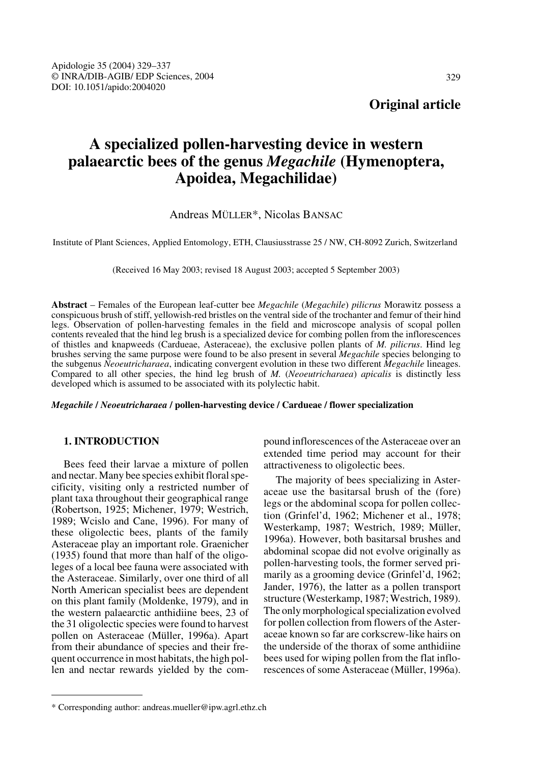# **A specialized pollen-harvesting device in western palaearctic bees of the genus** *Megachile* **(Hymenoptera, Apoidea, Megachilidae)**

# Andreas MÜLLER\*, Nicolas BANSAC

Institute of Plant Sciences, Applied Entomology, ETH, Clausiusstrasse 25 / NW, CH-8092 Zurich, Switzerland

(Received 16 May 2003; revised 18 August 2003; accepted 5 September 2003)

**Abstract** – Females of the European leaf-cutter bee *Megachile* (*Megachile*) *pilicrus* Morawitz possess a conspicuous brush of stiff, yellowish-red bristles on the ventral side of the trochanter and femur of their hind legs. Observation of pollen-harvesting females in the field and microscope analysis of scopal pollen contents revealed that the hind leg brush is a specialized device for combing pollen from the inflorescences of thistles and knapweeds (Cardueae, Asteraceae), the exclusive pollen plants of *M. pilicrus*. Hind leg brushes serving the same purpose were found to be also present in several *Megachile* species belonging to the subgenus *Neoeutricharaea*, indicating convergent evolution in these two different *Megachile* lineages. Compared to all other species, the hind leg brush of *M.* (*Neoeutricharaea*) *apicalis* is distinctly less developed which is assumed to be associated with its polylectic habit.

*Megachile* **/** *Neoeutricharaea* **/ pollen-harvesting device / Cardueae / flower specialization**

## **1. INTRODUCTION**

Bees feed their larvae a mixture of pollen and nectar. Many bee species exhibit floral specificity, visiting only a restricted number of plant taxa throughout their geographical range (Robertson, 1925; Michener, 1979; Westrich, 1989; Wcislo and Cane, 1996). For many of these oligolectic bees, plants of the family Asteraceae play an important role. Graenicher (1935) found that more than half of the oligoleges of a local bee fauna were associated with the Asteraceae. Similarly, over one third of all North American specialist bees are dependent on this plant family (Moldenke, 1979), and in the western palaearctic anthidiine bees, 23 of the 31 oligolectic species were found to harvest pollen on Asteraceae (Müller, 1996a). Apart from their abundance of species and their frequent occurrence in most habitats, the high pollen and nectar rewards yielded by the compound inflorescences of the Asteraceae over an extended time period may account for their attractiveness to oligolectic bees.

The majority of bees specializing in Asteraceae use the basitarsal brush of the (fore) legs or the abdominal scopa for pollen collection (Grinfel'd, 1962; Michener et al., 1978; Westerkamp, 1987; Westrich, 1989; Müller, 1996a). However, both basitarsal brushes and abdominal scopae did not evolve originally as pollen-harvesting tools, the former served primarily as a grooming device (Grinfel'd, 1962; Jander, 1976), the latter as a pollen transport structure (Westerkamp, 1987; Westrich, 1989). The only morphological specialization evolved for pollen collection from flowers of the Asteraceae known so far are corkscrew-like hairs on the underside of the thorax of some anthidiine bees used for wiping pollen from the flat inflorescences of some Asteraceae (Müller, 1996a).

<sup>\*</sup> Corresponding author: andreas.mueller@ipw.agrl.ethz.ch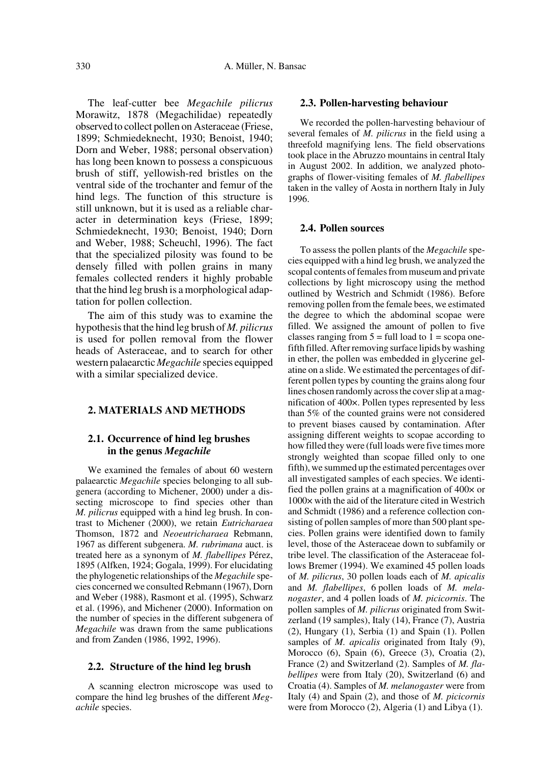The leaf-cutter bee *Megachile pilicrus* Morawitz, 1878 (Megachilidae) repeatedly observed to collect pollen on Asteraceae (Friese, 1899; Schmiedeknecht, 1930; Benoist, 1940; Dorn and Weber, 1988; personal observation) has long been known to possess a conspicuous brush of stiff, yellowish-red bristles on the ventral side of the trochanter and femur of the hind legs. The function of this structure is still unknown, but it is used as a reliable character in determination keys (Friese, 1899; Schmiedeknecht, 1930; Benoist, 1940; Dorn and Weber, 1988; Scheuchl, 1996). The fact that the specialized pilosity was found to be densely filled with pollen grains in many females collected renders it highly probable that the hind leg brush is a morphological adaptation for pollen collection.

The aim of this study was to examine the hypothesis that the hind leg brush of *M. pilicrus* is used for pollen removal from the flower heads of Asteraceae, and to search for other western palaearctic *Megachile* species equipped with a similar specialized device.

# **2. MATERIALS AND METHODS**

## **2.1. Occurrence of hind leg brushes in the genus** *Megachile*

We examined the females of about 60 western palaearctic *Megachile* species belonging to all subgenera (according to Michener, 2000) under a dissecting microscope to find species other than *M. pilicrus* equipped with a hind leg brush. In contrast to Michener (2000), we retain *Eutricharaea* Thomson, 1872 and *Neoeutricharaea* Rebmann, 1967 as different subgenera. *M. rubrimana* auct. is treated here as a synonym of *M. flabellipes* Pérez, 1895 (Alfken, 1924; Gogala, 1999). For elucidating the phylogenetic relationships of the *Megachile* species concerned we consulted Rebmann (1967), Dorn and Weber (1988), Rasmont et al. (1995), Schwarz et al. (1996), and Michener (2000). Information on the number of species in the different subgenera of *Megachile* was drawn from the same publications and from Zanden (1986, 1992, 1996).

#### **2.2. Structure of the hind leg brush**

A scanning electron microscope was used to compare the hind leg brushes of the different *Megachile* species.

#### **2.3. Pollen-harvesting behaviour**

We recorded the pollen-harvesting behaviour of several females of *M. pilicrus* in the field using a threefold magnifying lens. The field observations took place in the Abruzzo mountains in central Italy in August 2002. In addition, we analyzed photographs of flower-visiting females of *M. flabellipes* taken in the valley of Aosta in northern Italy in July 1996.

### **2.4. Pollen sources**

To assess the pollen plants of the *Megachile* species equipped with a hind leg brush, we analyzed the scopal contents of females from museum and private collections by light microscopy using the method outlined by Westrich and Schmidt (1986). Before removing pollen from the female bees, we estimated the degree to which the abdominal scopae were filled. We assigned the amount of pollen to five classes ranging from  $5 = \text{full load}$  to  $1 = \text{scope}$ fifth filled. After removing surface lipids by washing in ether, the pollen was embedded in glycerine gelatine on a slide. We estimated the percentages of different pollen types by counting the grains along four lines chosen randomly across the cover slip at a magnification of 400×. Pollen types represented by less than 5% of the counted grains were not considered to prevent biases caused by contamination. After assigning different weights to scopae according to how filled they were (full loads were five times more strongly weighted than scopae filled only to one fifth), we summed up the estimated percentages over all investigated samples of each species. We identified the pollen grains at a magnification of 400× or 1000× with the aid of the literature cited in Westrich and Schmidt (1986) and a reference collection consisting of pollen samples of more than 500 plant species. Pollen grains were identified down to family level, those of the Asteraceae down to subfamily or tribe level. The classification of the Asteraceae follows Bremer (1994). We examined 45 pollen loads of *M. pilicrus*, 30 pollen loads each of *M. apicalis* and *M. flabellipes*, 6 pollen loads of *M. melanogaster*, and 4 pollen loads of *M. picicornis*. The pollen samples of *M. pilicrus* originated from Switzerland (19 samples), Italy (14), France (7), Austria (2), Hungary (1), Serbia (1) and Spain (1). Pollen samples of *M. apicalis* originated from Italy (9), Morocco (6), Spain (6), Greece (3), Croatia (2), France (2) and Switzerland (2). Samples of *M. flabellipes* were from Italy (20), Switzerland (6) and Croatia (4). Samples of *M. melanogaster* were from Italy (4) and Spain (2), and those of *M. picicornis* were from Morocco (2), Algeria (1) and Libya (1).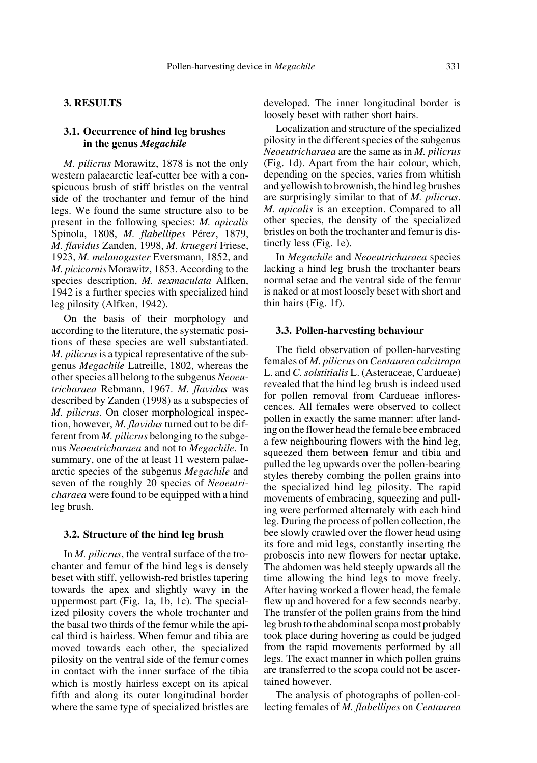## **3. RESULTS**

## **3.1. Occurrence of hind leg brushes in the genus** *Megachile*

*M. pilicrus* Morawitz, 1878 is not the only western palaearctic leaf-cutter bee with a conspicuous brush of stiff bristles on the ventral side of the trochanter and femur of the hind legs. We found the same structure also to be present in the following species: *M. apicalis* Spinola, 1808, *M. flabellipes* Pérez, 1879, *M. flavidus* Zanden, 1998, *M. kruegeri* Friese, 1923, *M. melanogaster* Eversmann, 1852, and *M. picicornis* Morawitz, 1853. According to the species description, *M. sexmaculata* Alfken, 1942 is a further species with specialized hind leg pilosity (Alfken, 1942).

On the basis of their morphology and according to the literature, the systematic positions of these species are well substantiated. *M. pilicrus* is a typical representative of the subgenus *Megachile* Latreille, 1802, whereas the other species all belong to the subgenus *Neoeutricharaea* Rebmann, 1967. *M. flavidus* was described by Zanden (1998) as a subspecies of *M. pilicrus*. On closer morphological inspection, however, *M. flavidus* turned out to be different from *M. pilicrus* belonging to the subgenus *Neoeutricharaea* and not to *Megachile*. In summary, one of the at least 11 western palaearctic species of the subgenus *Megachile* and seven of the roughly 20 species of *Neoeutricharaea* were found to be equipped with a hind leg brush.

#### **3.2. Structure of the hind leg brush**

In *M. pilicrus*, the ventral surface of the trochanter and femur of the hind legs is densely beset with stiff, yellowish-red bristles tapering towards the apex and slightly wavy in the uppermost part (Fig. 1a, 1b, 1c). The specialized pilosity covers the whole trochanter and the basal two thirds of the femur while the apical third is hairless. When femur and tibia are moved towards each other, the specialized pilosity on the ventral side of the femur comes in contact with the inner surface of the tibia which is mostly hairless except on its apical fifth and along its outer longitudinal border where the same type of specialized bristles are developed. The inner longitudinal border is loosely beset with rather short hairs.

Localization and structure of the specialized pilosity in the different species of the subgenus *Neoeutricharaea* are the same as in *M. pilicrus* (Fig. 1d). Apart from the hair colour, which, depending on the species, varies from whitish and yellowish to brownish, the hind leg brushes are surprisingly similar to that of *M. pilicrus*. *M. apicalis* is an exception. Compared to all other species, the density of the specialized bristles on both the trochanter and femur is distinctly less (Fig. 1e).

In *Megachile* and *Neoeutricharaea* species lacking a hind leg brush the trochanter bears normal setae and the ventral side of the femur is naked or at most loosely beset with short and thin hairs (Fig. 1f).

#### **3.3. Pollen-harvesting behaviour**

The field observation of pollen-harvesting females of *M. pilicrus* on *Centaurea calcitrapa* L. and *C. solstitialis* L. (Asteraceae, Cardueae) revealed that the hind leg brush is indeed used for pollen removal from Cardueae inflorescences. All females were observed to collect pollen in exactly the same manner: after landing on the flower head the female bee embraced a few neighbouring flowers with the hind leg, squeezed them between femur and tibia and pulled the leg upwards over the pollen-bearing styles thereby combing the pollen grains into the specialized hind leg pilosity. The rapid movements of embracing, squeezing and pulling were performed alternately with each hind leg. During the process of pollen collection, the bee slowly crawled over the flower head using its fore and mid legs, constantly inserting the proboscis into new flowers for nectar uptake. The abdomen was held steeply upwards all the time allowing the hind legs to move freely. After having worked a flower head, the female flew up and hovered for a few seconds nearby. The transfer of the pollen grains from the hind leg brush to the abdominal scopa most probably took place during hovering as could be judged from the rapid movements performed by all legs. The exact manner in which pollen grains are transferred to the scopa could not be ascertained however.

The analysis of photographs of pollen-collecting females of *M. flabellipes* on *Centaurea*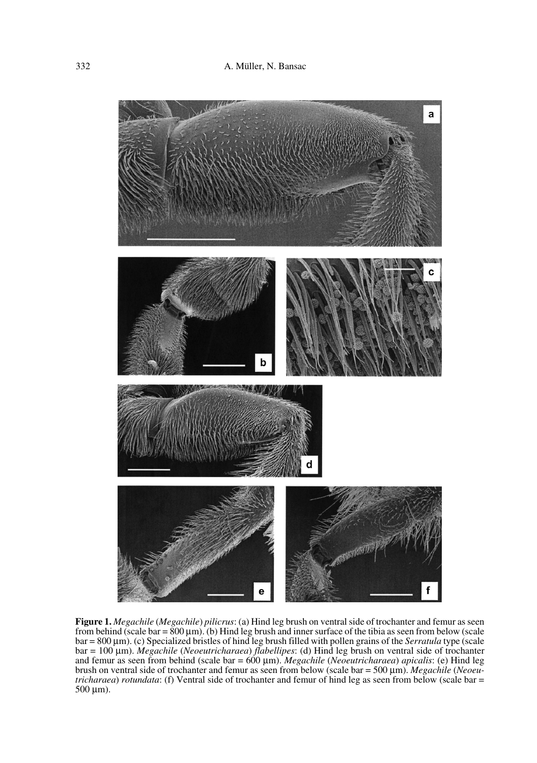

**Figure 1.** *Megachile* (*Megachile*) *pilicrus*: (a) Hind leg brush on ventral side of trochanter and femur as seen from behind (scale bar =  $800 \mu m$ ). (b) Hind leg brush and inner surface of the tibia as seen from below (scale bar = 800 µm). (c) Specialized bristles of hind leg brush filled with pollen grains of the *Serratula* type (scale bar = 100 µm). *Megachile* (*Neoeutricharaea*) *flabellipes*: (d) Hind leg brush on ventral side of trochanter and femur as seen from behind (scale bar = 600 µm). *Megachile* (*Neoeutricharaea*) *apicalis*: (e) Hind leg brush on ventral side of trochanter and femur as seen from below (scale bar = 500 µm). *Megachile* (*Neoeutricharaea*) *rotundata*: (f) Ventral side of trochanter and femur of hind leg as seen from below (scale bar = 500 µm).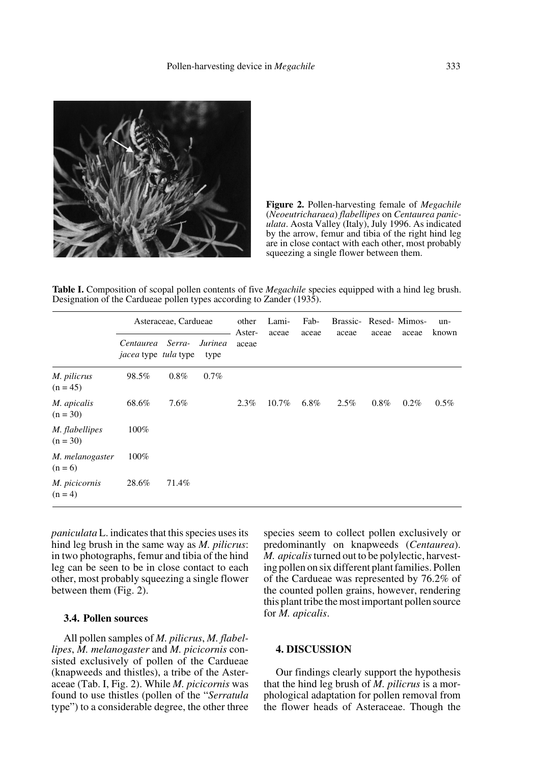

**Figure 2.** Pollen-harvesting female of *Megachile* (*Neoeutricharaea*) *flabellipes* on *Centaurea paniculata*. Aosta Valley (Italy), July 1996. As indicated by the arrow, femur and tibia of the right hind leg are in close contact with each other, most probably squeezing a single flower between them.

**Table I.** Composition of scopal pollen contents of five *Megachile* species equipped with a hind leg brush. Designation of the Cardueae pollen types according to Zander (1935).

|                              | Asteraceae, Cardueae                            |         |                 | other<br>Aster- | Lami-<br>aceae | Fab-<br>aceae | Brassic-<br>aceae | aceae   | Resed-Mimos-<br>aceae | un-<br>known |
|------------------------------|-------------------------------------------------|---------|-----------------|-----------------|----------------|---------------|-------------------|---------|-----------------------|--------------|
|                              | Centaurea<br><i>jacea</i> type <i>tula</i> type | Serra-  | Jurinea<br>type | aceae           |                |               |                   |         |                       |              |
| M. pilicrus<br>$(n = 45)$    | 98.5%                                           | $0.8\%$ | $0.7\%$         |                 |                |               |                   |         |                       |              |
| M. apicalis<br>$(n = 30)$    | 68.6%                                           | 7.6%    |                 | 2.3%            | $10.7\%$       | 6.8%          | 2.5%              | $0.8\%$ | $0.2\%$               | $0.5\%$      |
| M. flabellipes<br>$(n = 30)$ | 100%                                            |         |                 |                 |                |               |                   |         |                       |              |
| M. melanogaster<br>$(n = 6)$ | 100%                                            |         |                 |                 |                |               |                   |         |                       |              |
| M. picicornis<br>$(n = 4)$   | 28.6%                                           | 71.4%   |                 |                 |                |               |                   |         |                       |              |

*paniculata* L. indicates that this species uses its hind leg brush in the same way as *M. pilicrus*: in two photographs, femur and tibia of the hind leg can be seen to be in close contact to each other, most probably squeezing a single flower between them (Fig. 2).

## **3.4. Pollen sources**

All pollen samples of *M. pilicrus*, *M. flabellipes*, *M. melanogaster* and *M. picicornis* consisted exclusively of pollen of the Cardueae (knapweeds and thistles), a tribe of the Asteraceae (Tab. I, Fig. 2). While *M. picicornis* was found to use thistles (pollen of the "*Serratula* type") to a considerable degree, the other three species seem to collect pollen exclusively or predominantly on knapweeds (*Centaurea*). *M. apicalis* turned out to be polylectic, harvesting pollen on six different plant families. Pollen of the Cardueae was represented by 76.2% of the counted pollen grains, however, rendering this plant tribe the most important pollen source for *M. apicalis*.

## **4. DISCUSSION**

Our findings clearly support the hypothesis that the hind leg brush of *M. pilicrus* is a morphological adaptation for pollen removal from the flower heads of Asteraceae. Though the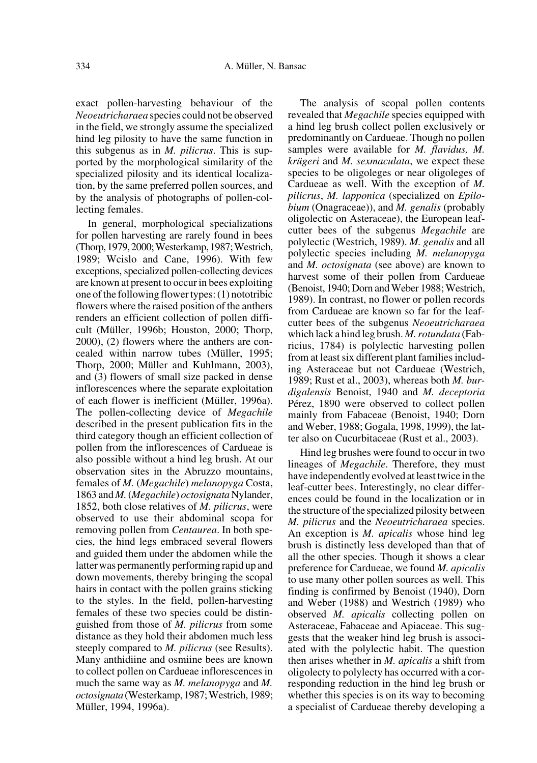exact pollen-harvesting behaviour of the *Neoeutricharaea* species could not be observed in the field, we strongly assume the specialized hind leg pilosity to have the same function in this subgenus as in *M. pilicrus*. This is supported by the morphological similarity of the specialized pilosity and its identical localization, by the same preferred pollen sources, and by the analysis of photographs of pollen-collecting females.

In general, morphological specializations for pollen harvesting are rarely found in bees (Thorp, 1979, 2000; Westerkamp, 1987; Westrich, 1989; Wcislo and Cane, 1996). With few exceptions, specialized pollen-collecting devices are known at present to occur in bees exploiting one of the following flower types: (1) nototribic flowers where the raised position of the anthers renders an efficient collection of pollen difficult (Müller, 1996b; Houston, 2000; Thorp, 2000), (2) flowers where the anthers are concealed within narrow tubes (Müller, 1995; Thorp, 2000; Müller and Kuhlmann, 2003), and (3) flowers of small size packed in dense inflorescences where the separate exploitation of each flower is inefficient (Müller, 1996a). The pollen-collecting device of *Megachile* described in the present publication fits in the third category though an efficient collection of pollen from the inflorescences of Cardueae is also possible without a hind leg brush. At our observation sites in the Abruzzo mountains, females of *M.* (*Megachile*) *melanopyga* Costa, 1863 and *M.* (*Megachile*) *octosignata* Nylander, 1852, both close relatives of *M. pilicrus*, were observed to use their abdominal scopa for removing pollen from *Centaurea*. In both species, the hind legs embraced several flowers and guided them under the abdomen while the latter was permanently performing rapid up and down movements, thereby bringing the scopal hairs in contact with the pollen grains sticking to the styles. In the field, pollen-harvesting females of these two species could be distinguished from those of *M. pilicrus* from some distance as they hold their abdomen much less steeply compared to *M. pilicrus* (see Results). Many anthidiine and osmiine bees are known to collect pollen on Cardueae inflorescences in much the same way as *M. melanopyga* and *M. octosignata* (Westerkamp, 1987; Westrich, 1989; Müller, 1994, 1996a).

The analysis of scopal pollen contents revealed that *Megachile* species equipped with a hind leg brush collect pollen exclusively or predominantly on Cardueae. Though no pollen samples were available for *M. flavidus, M. krügeri* and *M. sexmaculata*, we expect these species to be oligoleges or near oligoleges of Cardueae as well. With the exception of *M. pilicrus*, *M. lapponica* (specialized on *Epilobium* (Onagraceae)), and *M. genalis* (probably oligolectic on Asteraceae), the European leafcutter bees of the subgenus *Megachile* are polylectic (Westrich, 1989). *M. genalis* and all polylectic species including *M. melanopyga* and *M. octosignata* (see above) are known to harvest some of their pollen from Cardueae (Benoist, 1940; Dorn and Weber 1988; Westrich, 1989). In contrast, no flower or pollen records from Cardueae are known so far for the leafcutter bees of the subgenus *Neoeutricharaea* which lack a hind leg brush. *M. rotundata* (Fabricius, 1784) is polylectic harvesting pollen from at least six different plant families including Asteraceae but not Cardueae (Westrich, 1989; Rust et al., 2003), whereas both *M. burdigalensis* Benoist, 1940 and *M. deceptoria* Pérez, 1890 were observed to collect pollen mainly from Fabaceae (Benoist, 1940; Dorn and Weber, 1988; Gogala, 1998, 1999), the latter also on Cucurbitaceae (Rust et al., 2003).

Hind leg brushes were found to occur in two lineages of *Megachile*. Therefore, they must have independently evolved at least twice in the leaf-cutter bees. Interestingly, no clear differences could be found in the localization or in the structure of the specialized pilosity between *M. pilicrus* and the *Neoeutricharaea* species. An exception is *M. apicalis* whose hind leg brush is distinctly less developed than that of all the other species. Though it shows a clear preference for Cardueae, we found *M. apicalis* to use many other pollen sources as well. This finding is confirmed by Benoist (1940), Dorn and Weber (1988) and Westrich (1989) who observed *M. apicalis* collecting pollen on Asteraceae, Fabaceae and Apiaceae. This suggests that the weaker hind leg brush is associated with the polylectic habit. The question then arises whether in *M. apicalis* a shift from oligolecty to polylecty has occurred with a corresponding reduction in the hind leg brush or whether this species is on its way to becoming a specialist of Cardueae thereby developing a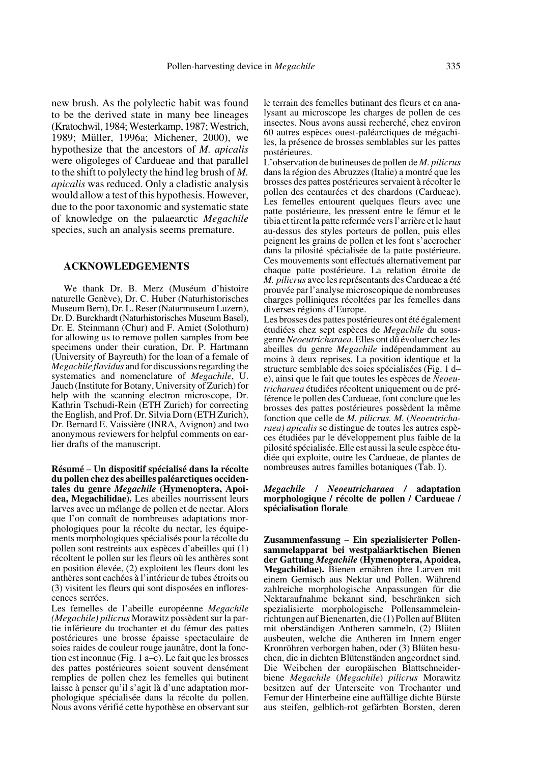new brush. As the polylectic habit was found to be the derived state in many bee lineages (Kratochwil, 1984; Westerkamp, 1987; Westrich, 1989; Müller, 1996a; Michener, 2000), we hypothesize that the ancestors of *M. apicalis* were oligoleges of Cardueae and that parallel to the shift to polylecty the hind leg brush of *M. apicalis* was reduced. Only a cladistic analysis would allow a test of this hypothesis. However, due to the poor taxonomic and systematic state of knowledge on the palaearctic *Megachile* species, such an analysis seems premature.

## **ACKNOWLEDGEMENTS**

We thank Dr. B. Merz (Muséum d'histoire naturelle Genève), Dr. C. Huber (Naturhistorisches Museum Bern), Dr. L. Reser (Naturmuseum Luzern), Dr. D. Burckhardt (Naturhistorisches Museum Basel), Dr. E. Steinmann (Chur) and F. Amiet (Solothurn) for allowing us to remove pollen samples from bee specimens under their curation, Dr. P. Hartmann (University of Bayreuth) for the loan of a female of *Megachile flavidus* and for discussions regarding the systematics and nomenclature of *Megachile*, U. Jauch (Institute for Botany, University of Zurich) for help with the scanning electron microscope, Dr. Kathrin Tschudi-Rein (ETH Zurich) for correcting the English, and Prof. Dr. Silvia Dorn (ETH Zurich), Dr. Bernard E. Vaissière (INRA, Avignon) and two anonymous reviewers for helpful comments on earlier drafts of the manuscript.

**Résumé** – **Un dispositif spécialisé dans la récolte du pollen chez des abeilles paléarctiques occidentales du genre** *Megachile* **(Hymenoptera, Apoidea, Megachilidae).** Les abeilles nourrissent leurs larves avec un mélange de pollen et de nectar. Alors que l'on connaît de nombreuses adaptations morphologiques pour la récolte du nectar, les équipements morphologiques spécialisés pour la récolte du pollen sont restreints aux espèces d'abeilles qui (1) récoltent le pollen sur les fleurs où les anthères sont en position élevée, (2) exploitent les fleurs dont les anthères sont cachées à l'intérieur de tubes étroits ou (3) visitent les fleurs qui sont disposées en inflorescences serrées.

Les femelles de l'abeille européenne *Megachile (Megachile) pilicrus* Morawitz possèdent sur la partie inférieure du trochanter et du fémur des pattes postérieures une brosse épaisse spectaculaire de soies raides de couleur rouge jaunâtre, dont la fonction est inconnue (Fig. 1 a–c). Le fait que les brosses des pattes postérieures soient souvent densément remplies de pollen chez les femelles qui butinent laisse à penser qu'il s'agit là d'une adaptation morphologique spécialisée dans la récolte du pollen. Nous avons vérifié cette hypothèse en observant sur le terrain des femelles butinant des fleurs et en analysant au microscope les charges de pollen de ces insectes. Nous avons aussi recherché, chez environ 60 autres espèces ouest-paléarctiques de mégachiles, la présence de brosses semblables sur les pattes postérieures.

L'observation de butineuses de pollen de *M. pilicrus* dans la région des Abruzzes (Italie) a montré que les brosses des pattes postérieures servaient à récolter le pollen des centaurées et des chardons (Cardueae). Les femelles entourent quelques fleurs avec une patte postérieure, les pressent entre le fémur et le tibia et tirent la patte refermée vers l'arrière et le haut au-dessus des styles porteurs de pollen, puis elles peignent les grains de pollen et les font s'accrocher dans la pilosité spécialisée de la patte postérieure. Ces mouvements sont effectués alternativement par chaque patte postérieure. La relation étroite de *M. pilicrus* avec les représentants des Cardueae a été prouvée par l'analyse microscopique de nombreuses charges polliniques récoltées par les femelles dans diverses régions d'Europe.

Les brosses des pattes postérieures ont été également étudiées chez sept espèces de *Megachile* du sousgenre *Neoeutricharaea*. Elles ont dû évoluer chez les abeilles du genre *Megachile* indépendamment au moins à deux reprises. La position identique et la structure semblable des soies spécialisées (Fig. 1 d– e), ainsi que le fait que toutes les espèces de *Neoeutricharaea* étudiées récoltent uniquement ou de préférence le pollen des Cardueae, font conclure que les brosses des pattes postérieures possèdent la même fonction que celle de *M. pilicrus. M.* (*Neoeutricharaea) apicalis* se distingue de toutes les autres espèces étudiées par le développement plus faible de la pilosité spécialisée. Elle est aussi la seule espèce étudiée qui exploite, outre les Cardueae, de plantes de nombreuses autres familles botaniques (Tab. I).

## *Megachile* **/** *Neoeutricharaea /* **adaptation morphologique / récolte de pollen / Cardueae / spécialisation florale**

**Zusammenfassung** – **Ein spezialisierter Pollensammelapparat bei westpaläarktischen Bienen der Gattung** *Megachile* **(Hymenoptera, Apoidea, Megachilidae).** Bienen ernähren ihre Larven mit einem Gemisch aus Nektar und Pollen. Während zahlreiche morphologische Anpassungen für die Nektaraufnahme bekannt sind, beschränken sich spezialisierte morphologische Pollensammeleinrichtungen auf Bienenarten, die (1) Pollen auf Blüten mit oberständigen Antheren sammeln, (2) Blüten ausbeuten, welche die Antheren im Innern enger Kronröhren verborgen haben, oder (3) Blüten besuchen, die in dichten Blütenständen angeordnet sind. Die Weibchen der europäischen Blattschneiderbiene *Megachile* (*Megachile*) *pilicrus* Morawitz besitzen auf der Unterseite von Trochanter und Femur der Hinterbeine eine auffällige dichte Bürste aus steifen, gelblich-rot gefärbten Borsten, deren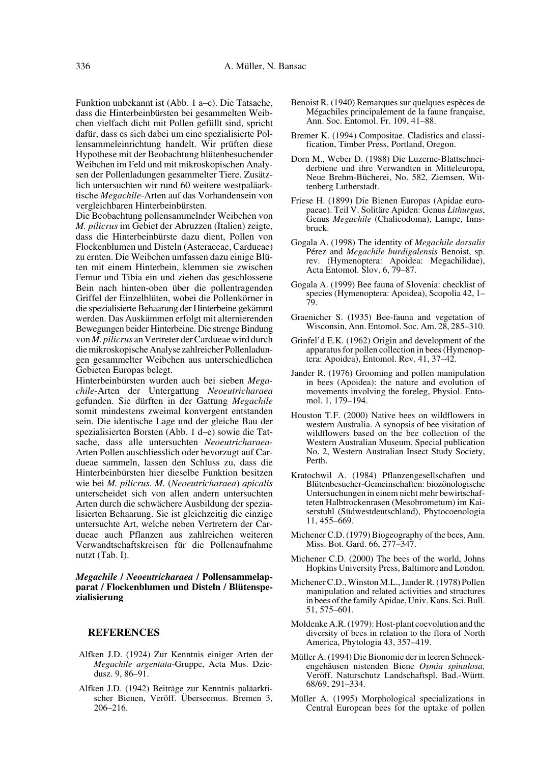Funktion unbekannt ist (Abb. 1 a–c). Die Tatsache, dass die Hinterbeinbürsten bei gesammelten Weibchen vielfach dicht mit Pollen gefüllt sind, spricht dafür, dass es sich dabei um eine spezialisierte Pollensammeleinrichtung handelt. Wir prüften diese Hypothese mit der Beobachtung blütenbesuchender Weibchen im Feld und mit mikroskopischen Analysen der Pollenladungen gesammelter Tiere. Zusätzlich untersuchten wir rund 60 weitere westpaläarktische *Megachile*-Arten auf das Vorhandensein von vergleichbaren Hinterbeinbürsten.

Die Beobachtung pollensammelnder Weibchen von *M. pilicrus* im Gebiet der Abruzzen (Italien) zeigte, dass die Hinterbeinbürste dazu dient, Pollen von Flockenblumen und Disteln (Asteraceae, Cardueae) zu ernten. Die Weibchen umfassen dazu einige Blüten mit einem Hinterbein, klemmen sie zwischen Femur und Tibia ein und ziehen das geschlossene Bein nach hinten-oben über die pollentragenden Griffel der Einzelblüten, wobei die Pollenkörner in die spezialisierte Behaarung der Hinterbeine gekämmt werden. Das Auskämmen erfolgt mit alternierenden Bewegungen beider Hinterbeine. Die strenge Bindung von *M. pilicrus* an Vertreter der Cardueae wird durch die mikroskopische Analyse zahlreicher Pollenladungen gesammelter Weibchen aus unterschiedlichen Gebieten Europas belegt.

Hinterbeinbürsten wurden auch bei sieben *Megachile*-Arten der Untergattung *Neoeutricharaea* gefunden. Sie dürften in der Gattung *Megachile* somit mindestens zweimal konvergent entstanden sein. Die identische Lage und der gleiche Bau der spezialisierten Borsten (Abb. 1 d–e) sowie die Tatsache, dass alle untersuchten *Neoeutricharaea*-Arten Pollen auschliesslich oder bevorzugt auf Cardueae sammeln, lassen den Schluss zu, dass die Hinterbeinbürsten hier dieselbe Funktion besitzen wie bei *M. pilicrus*. *M.* (*Neoeutricharaea*) *apicalis* unterscheidet sich von allen andern untersuchten Arten durch die schwächere Ausbildung der spezialisierten Behaarung. Sie ist gleichzeitig die einzige untersuchte Art, welche neben Vertretern der Cardueae auch Pflanzen aus zahlreichen weiteren Verwandtschaftskreisen für die Pollenaufnahme nutzt (Tab. I).

*Megachile* **/** *Neoeutricharaea* **/ Pollensammelapparat / Flockenblumen und Disteln / Blütenspezialisierung**

## **REFERENCES**

- Alfken J.D. (1924) Zur Kenntnis einiger Arten der *Megachile argentata*-Gruppe, Acta Mus. Dziedusz. 9, 86–91.
- Alfken J.D. (1942) Beiträge zur Kenntnis paläarktischer Bienen, Veröff. Überseemus. Bremen 3, 206–216.
- Benoist R. (1940) Remarques sur quelques espèces de Mégachiles principalement de la faune française, Ann. Soc. Entomol. Fr. 109, 41–88.
- Bremer K. (1994) Compositae. Cladistics and classification, Timber Press, Portland, Oregon.
- Dorn M., Weber D. (1988) Die Luzerne-Blattschneiderbiene und ihre Verwandten in Mitteleuropa, Neue Brehm-Bücherei, No. 582, Ziemsen, Wittenberg Lutherstadt.
- Friese H. (1899) Die Bienen Europas (Apidae europaeae). Teil V. Solitäre Apiden: Genus *Lithurgus*, Genus *Megachile* (Chalicodoma), Lampe, Innsbruck.
- Gogala A. (1998) The identity of *Megachile dorsalis* Pérez and *Megachile burdigalensis* Benoist, sp. rev. (Hymenoptera: Apoidea: Megachilidae), Acta Entomol. Slov. 6, 79–87.
- Gogala A. (1999) Bee fauna of Slovenia: checklist of species (Hymenoptera: Apoidea), Scopolia 42, 1– 79.
- Graenicher S. (1935) Bee-fauna and vegetation of Wisconsin, Ann. Entomol. Soc. Am. 28, 285–310.
- Grinfel'd E.K. (1962) Origin and development of the apparatus for pollen collection in bees (Hymenoptera: Apoidea), Entomol. Rev. 41, 37–42.
- Jander R. (1976) Grooming and pollen manipulation in bees (Apoidea): the nature and evolution of movements involving the foreleg, Physiol. Entomol. 1, 179–194.
- Houston T.F. (2000) Native bees on wildflowers in western Australia. A synopsis of bee visitation of wildflowers based on the bee collection of the Western Australian Museum, Special publication No. 2, Western Australian Insect Study Society, Perth.
- Kratochwil A. (1984) Pflanzengesellschaften und Blütenbesucher-Gemeinschaften: biozönologische Untersuchungen in einem nicht mehr bewirtschafteten Halbtrockenrasen (Mesobrometum) im Kaiserstuhl (Südwestdeutschland), Phytocoenologia 11, 455–669.
- Michener C.D. (1979) Biogeography of the bees, Ann. Miss. Bot. Gard. 66, 277–347.
- Michener C.D. (2000) The bees of the world, Johns Hopkins University Press, Baltimore and London.
- Michener C.D., Winston M.L., Jander R. (1978) Pollen manipulation and related activities and structures in bees of the family Apidae, Univ. Kans. Sci. Bull. 51, 575–601.
- Moldenke A.R. (1979): Host-plant coevolution and the diversity of bees in relation to the flora of North America, Phytologia 43, 357–419.
- Müller A. (1994) Die Bionomie der in leeren Schneckengehäusen nistenden Biene *Osmia spinulosa,* Veröff. Naturschutz Landschaftspl. Bad.-Württ. 68/69, 291–334.
- Müller A. (1995) Morphological specializations in Central European bees for the uptake of pollen